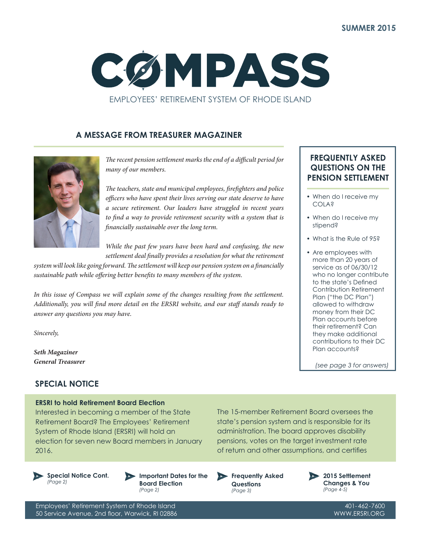

## **A MESSAGE FROM TREASURER MAGAZINER**



*The recent pension settlement marks the end of a difficult period for many of our members.*

*The teachers, state and municipal employees, firefighters and police officers who have spent their lives serving our state deserve to have a secure retirement. Our leaders have struggled in recent years to find a way to provide retirement security with a system that is financially sustainable over the long term.*

*While the past few years have been hard and confusing, the new settlement deal finally provides a resolution for what the retirement* 

*system will look like going forward. The settlement will keep our pension system on a financially sustainable path while offering better benefits to many members of the system.*

*In this issue of Compass we will explain some of the changes resulting from the settlement. Additionally, you will find more detail on the ERSRI website, and our staff stands ready to answer any questions you may have.*

*Sincerely,*

*Seth Magaziner General Treasurer*

## **SPECIAL NOTICE**

#### **ERSRI to hold Retirement Board Election**

Interested in becoming a member of the State Retirement Board? The Employees' Retirement System of Rhode Island (ERSRI) will hold an election for seven new Board members in January 2016.

**Special Notice Cont.** *(Page 2)*

**Important Dates for the Board Election**

*(Page 2)*

state's pension system and is responsible for its administration. The board approves disability pensions, votes on the target investment rate of return and other assumptions, and certifies

The 15-member Retirement Board oversees the

**Frequently Asked Questions** *(Page 3)*



Employees' Retirement System of Rhode Island 50 Service Avenue, 2nd floor, Warwick, RI 02886

**FREQUENTLY ASKED QUESTIONS ON THE PENSION SETTLEMENT**

- When do I receive my COLA?
- When do I receive my stipend?
- What is the Rule of 95?
- Are employees with more than 20 years of service as of 06/30/12 who no longer contribute to the state's Defined Contribution Retirement Plan ("the DC Plan") allowed to withdraw money from their DC Plan accounts before their retirement? Can they make additional contributions to their DC Plan accounts?

*(see page 3 for answers)*

401-462-7600 WWW.ERSRI.ORG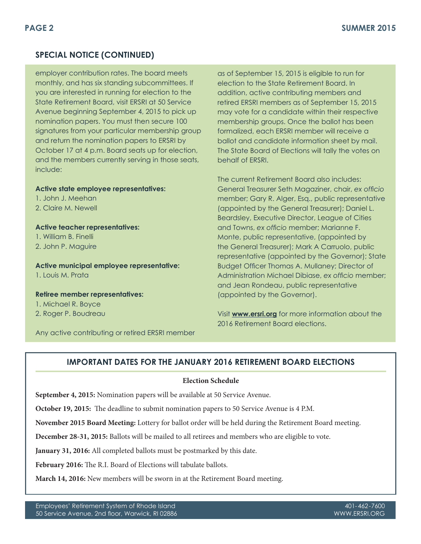## **SPECIAL NOTICE (CONTINUED)**

employer contribution rates. The board meets monthly, and has six standing subcommittees. If you are interested in running for election to the State Retirement Board, visit ERSRI at 50 Service Avenue beginning September 4, 2015 to pick up nomination papers. You must then secure 100 signatures from your particular membership group and return the nomination papers to ERSRI by October 17 at 4 p.m. Board seats up for election, and the members currently serving in those seats, include:

**Active state employee representatives:**

1. John J. Meehan 2. Claire M. Newell

**Active teacher representatives:** 1. William B. Finelli 2. John P. Maguire

**Active municipal employee representative:** 1. Louis M. Prata

#### **Retiree member representatives:**

1. Michael R. Boyce

2. Roger P. Boudreau

Any active contributing or retired ERSRI member

as of September 15, 2015 is eligible to run for election to the State Retirement Board. In addition, active contributing members and retired ERSRI members as of September 15, 2015 may vote for a candidate within their respective membership groups. Once the ballot has been formalized, each ERSRI member will receive a ballot and candidate information sheet by mail. The State Board of Elections will tally the votes on behalf of ERSRI.

The current Retirement Board also includes: General Treasurer Seth Magaziner, chair, *ex officio* member; Gary R. Alger, Esq., public representative (appointed by the General Treasurer); Daniel L. Beardsley, Executive Director, League of Cities and Towns, *ex officio* member; Marianne F. Monte, public representative, (appointed by the General Treasurer); Mark A Carruolo, public representative (appointed by the Governor); State Budget Officer Thomas A. Mullaney; Director of Administration Michael Dibiase, *ex officio* member; and Jean Rondeau, public representative (appointed by the Governor).

Visit **www.ersri.org** for more information about the 2016 Retirement Board elections.

# **IMPORTANT DATES FOR THE JANUARY 2016 RETIREMENT BOARD ELECTIONS**

#### **Election Schedule**

**September 4, 2015:** Nomination papers will be available at 50 Service Avenue.

**October 19, 2015:** The deadline to submit nomination papers to 50 Service Avenue is 4 P.M.

**November 2015 Board Meeting:** Lottery for ballot order will be held during the Retirement Board meeting.

**December 28-31, 2015:** Ballots will be mailed to all retirees and members who are eligible to vote.

**January 31, 2016:** All completed ballots must be postmarked by this date.

**February 2016:** The R.I. Board of Elections will tabulate ballots.

**March 14, 2016:** New members will be sworn in at the Retirement Board meeting.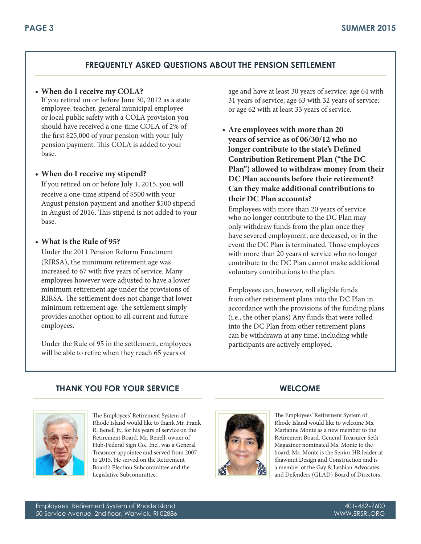## **FREQUENTLY ASKED QUESTIONS ABOUT THE PENSION SETTLEMENT**

#### **• When do I receive my COLA?**

If you retired on or before June 30, 2012 as a state employee, teacher, general municipal employee or local public safety with a COLA provision you should have received a one-time COLA of 2% of the first \$25,000 of your pension with your July pension payment. This COLA is added to your base.

#### **• When do I receive my stipend?**

If you retired on or before July 1, 2015, you will receive a one-time stipend of \$500 with your August pension payment and another \$500 stipend in August of 2016. This stipend is not added to your base.

#### **• What is the Rule of 95?**

Under the 2011 Pension Reform Enactment (RIRSA), the minimum retirement age was increased to 67 with five years of service. Many employees however were adjusted to have a lower minimum retirement age under the provisions of RIRSA. The settlement does not change that lower minimum retirement age. The settlement simply provides another option to all current and future employees.

Under the Rule of 95 in the settlement, employees will be able to retire when they reach 65 years of

age and have at least 30 years of service; age 64 with 31 years of service; age 63 with 32 years of service; or age 62 with at least 33 years of service.

**• Are employees with more than 20 years of service as of 06/30/12 who no longer contribute to the state's Defined Contribution Retirement Plan ("the DC Plan") allowed to withdraw money from their DC Plan accounts before their retirement? Can they make additional contributions to their DC Plan accounts?**

Employees with more than 20 years of service who no longer contribute to the DC Plan may only withdraw funds from the plan once they have severed employment, are deceased, or in the event the DC Plan is terminated. Those employees with more than 20 years of service who no longer contribute to the DC Plan cannot make additional voluntary contributions to the plan.

Employees can, however, roll eligible funds from other retirement plans into the DC Plan in accordance with the provisions of the funding plans (i.e., the other plans) Any funds that were rolled into the DC Plan from other retirement plans can be withdrawn at any time, including while participants are actively employed.

## **THANK YOU FOR YOUR SERVICE WELCOME**



The Employees' Retirement System of Rhode Island would like to thank Mr. Frank R. Benell Jr., for his years of service on the Retirement Board. Mr. Benell, owner of Hub-Federal Sign Co., Inc., was a General Treasurer appointee and served from 2007 to 2015. He served on the Retirement Board's Election Subcommittee and the Legislative Subcommittee.



The Employees' Retirement System of Rhode Island would like to welcome Ms. Marianne Monte as a new member to the Retirement Board. General Treasurer Seth Magaziner nominated Ms. Monte to the board. Ms. Monte is the Senior HR leader at Shawmut Design and Construction and is a member of the Gay & Lesbian Advocates and Defenders (GLAD) Board of Directors.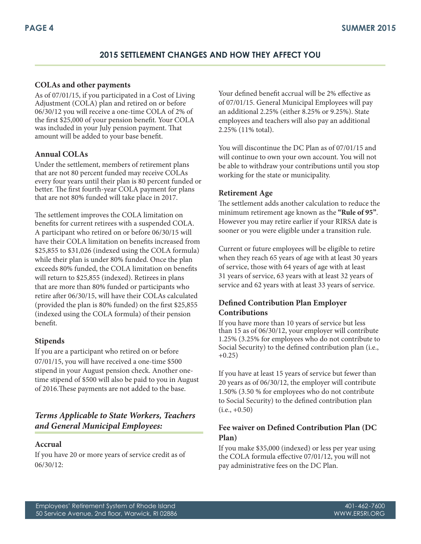## **2015 SETTLEMENT CHANGES AND HOW THEY AFFECT YOU**

#### **COLAs and other payments**

As of 07/01/15, if you participated in a Cost of Living Adjustment (COLA) plan and retired on or before 06/30/12 you will receive a one-time COLA of 2% of the first \$25,000 of your pension benefit. Your COLA was included in your July pension payment. That amount will be added to your base benefit.

#### **Annual COLAs**

Under the settlement, members of retirement plans that are not 80 percent funded may receive COLAs every four years until their plan is 80 percent funded or better. The first fourth-year COLA payment for plans that are not 80% funded will take place in 2017.

The settlement improves the COLA limitation on benefits for current retirees with a suspended COLA. A participant who retired on or before 06/30/15 will have their COLA limitation on benefits increased from \$25,855 to \$31,026 (indexed using the COLA formula) while their plan is under 80% funded. Once the plan exceeds 80% funded, the COLA limitation on benefits will return to \$25,855 (indexed). Retirees in plans that are more than 80% funded or participants who retire after 06/30/15, will have their COLAs calculated (provided the plan is 80% funded) on the first \$25,855 (indexed using the COLA formula) of their pension benefit.

#### **Stipends**

If you are a participant who retired on or before 07/01/15, you will have received a one-time \$500 stipend in your August pension check. Another onetime stipend of \$500 will also be paid to you in August of 2016.These payments are not added to the base.

## *Terms Applicable to State Workers, Teachers and General Municipal Employees:*

#### **Accrual**

If you have 20 or more years of service credit as of 06/30/12:

Your defined benefit accrual will be 2% effective as of 07/01/15. General Municipal Employees will pay an additional 2.25% (either 8.25% or 9.25%). State employees and teachers will also pay an additional 2.25% (11% total).

You will discontinue the DC Plan as of 07/01/15 and will continue to own your own account. You will not be able to withdraw your contributions until you stop working for the state or municipality.

#### **Retirement Age**

The settlement adds another calculation to reduce the minimum retirement age known as the **"Rule of 95"**. However you may retire earlier if your RIRSA date is sooner or you were eligible under a transition rule.

Current or future employees will be eligible to retire when they reach 65 years of age with at least 30 years of service, those with 64 years of age with at least 31 years of service, 63 years with at least 32 years of service and 62 years with at least 33 years of service.

## **Defined Contribution Plan Employer Contributions**

If you have more than 10 years of service but less than 15 as of 06/30/12, your employer will contribute 1.25% (3.25% for employees who do not contribute to Social Security) to the defined contribution plan (i.e.,  $+0.25$ )

If you have at least 15 years of service but fewer than 20 years as of 06/30/12, the employer will contribute 1.50% (3.50 % for employees who do not contribute to Social Security) to the defined contribution plan  $(i.e., +0.50)$ 

## **Fee waiver on Defined Contribution Plan (DC Plan)**

If you make \$35,000 (indexed) or less per year using the COLA formula effective 07/01/12, you will not pay administrative fees on the DC Plan.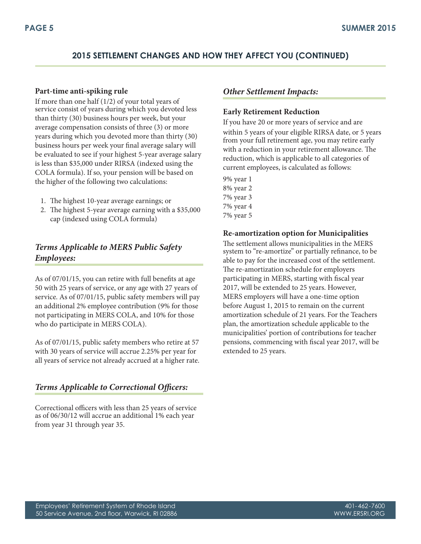# **2015 SETTLEMENT CHANGES AND HOW THEY AFFECT YOU (CONTINUED)**

#### **Part-time anti-spiking rule**

If more than one half (1/2) of your total years of service consist of years during which you devoted less than thirty (30) business hours per week, but your average compensation consists of three (3) or more years during which you devoted more than thirty (30) business hours per week your final average salary will be evaluated to see if your highest 5-year average salary is less than \$35,000 under RIRSA (indexed using the COLA formula). If so, your pension will be based on the higher of the following two calculations:

- 1. The highest 10-year average earnings; or
- 2. The highest 5-year average earning with a \$35,000 cap (indexed using COLA formula)

## *Terms Applicable to MERS Public Safety Employees:*

As of 07/01/15, you can retire with full benefits at age 50 with 25 years of service, or any age with 27 years of service. As of 07/01/15, public safety members will pay an additional 2% employee contribution (9% for those not participating in MERS COLA, and 10% for those who do participate in MERS COLA).

As of 07/01/15, public safety members who retire at 57 with 30 years of service will accrue 2.25% per year for all years of service not already accrued at a higher rate.

# *Terms Applicable to Correctional Officers:*

Correctional officers with less than 25 years of service as of 06/30/12 will accrue an additional 1% each year from year 31 through year 35.

## *Other Settlement Impacts:*

#### **Early Retirement Reduction**

If you have 20 or more years of service and are within 5 years of your eligible RIRSA date, or 5 years from your full retirement age, you may retire early with a reduction in your retirement allowance. The reduction, which is applicable to all categories of current employees, is calculated as follows:

9% year 1 8% year 2 7% year 3 7% year 4 7% year 5

## **Re-amortization option for Municipalities**

The settlement allows municipalities in the MERS system to "re-amortize" or partially refinance, to be able to pay for the increased cost of the settlement. The re-amortization schedule for employers participating in MERS, starting with fiscal year 2017, will be extended to 25 years. However, MERS employers will have a one-time option before August 1, 2015 to remain on the current amortization schedule of 21 years. For the Teachers plan, the amortization schedule applicable to the municipalities' portion of contributions for teacher pensions, commencing with fiscal year 2017, will be extended to 25 years.